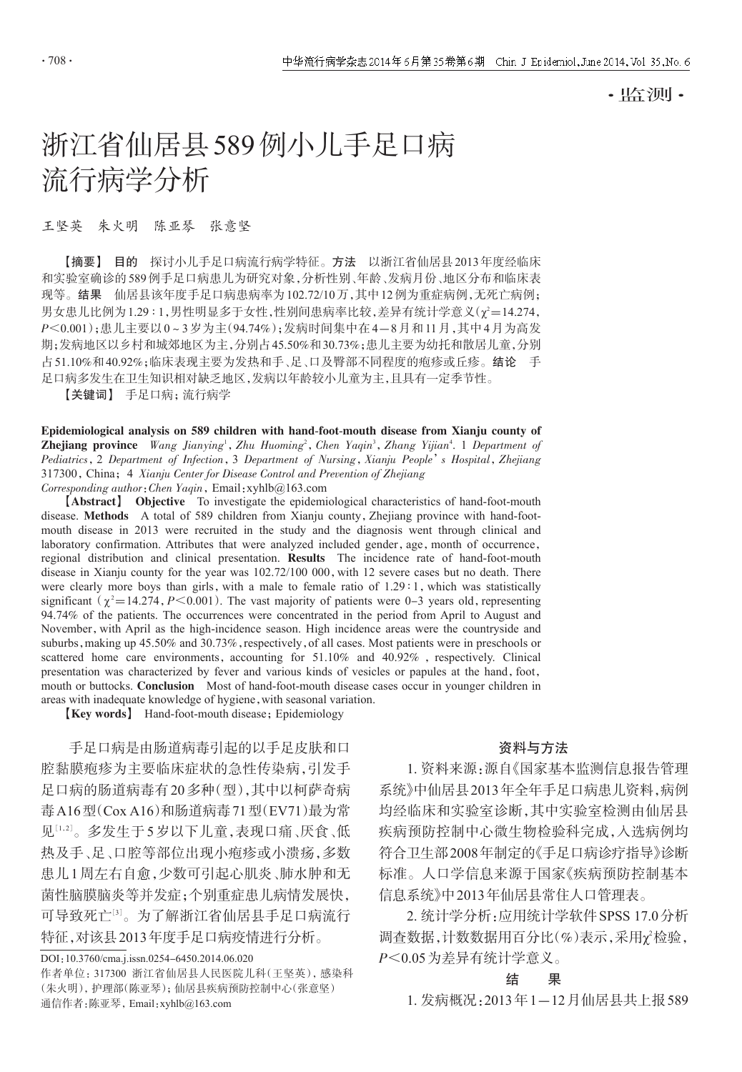·监测·

# 浙江省仙居县589例小儿手足口病 流行病学分析

#### 王坚英 朱火明 陈亚琴 张意坚

【摘要】 目的 探讨小儿手足口病流行病学特征。方法 以浙江省仙居县2013年度经临床 和实验室确诊的589例手足口病患儿为研究对象,分析性别、年龄、发病月份、地区分布和临床表 现等。结果 仙居县该年度手足口病患病率为102.72/10万,其中12例为重症病例,无死亡病例; 男女患儿比例为1.29 ∶ 1,男性明显多于女性,性别间患病率比较,差异有统计学意义(χ'=14.274, P<0.001);患儿主要以0~3岁为主(94.74%);发病时间集中在4-8月和11月,其中4月为高发 期;发病地区以乡村和城郊地区为主,分别占45.50%和30.73%;患儿主要为幼托和散居儿童,分别 占51.10%和40.92%;临床表现主要为发热和手、足、口及臀部不同程度的疱疹或丘疹。结论 手 足口病多发生在卫生知识相对缺乏地区,发病以年龄较小儿童为主,且具有一定季节性。

【关键词】 手足口病;流行病学

Epidemiological analysis on 589 children with hand-foot-mouth disease from Xianju county of Zhejiang province Wang Jianying<sup>1</sup>, Zhu Huoming<sup>2</sup>, Chen Yaqin<sup>3</sup>, Zhang Yijian<sup>4</sup>. 1 Department of Pediatrics, 2 Department of Infection, 3 Department of Nursing, Xianju People's Hospital, Zhejiang 317300, China; 4 Xianju Center for Disease Control and Prevention of Zhejiang Corresponding author:Chen Yaqin,Email:xyhlb@163.com

【Abstract】 Objective To investigate the epidemiological characteristics of hand-foot-mouth disease. Methods A total of 589 children from Xianju county,Zhejiang province with hand-footmouth disease in 2013 were recruited in the study and the diagnosis went through clinical and laboratory confirmation. Attributes that were analyzed included gender, age, month of occurrence, regional distribution and clinical presentation. Results The incidence rate of hand-foot-mouth disease in Xianju county for the year was  $102.72/100 000$ , with 12 severe cases but no death. There were clearly more boys than girls, with a male to female ratio of 1.29 ° 1, which was statistically significant ( $\chi^2$  = 14.274, P < 0.001). The vast majority of patients were 0-3 years old, representing 94.74% of the patients. The occurrences were concentrated in the period from April to August and November, with April as the high-incidence season. High incidence areas were the countryside and suburbs, making up 45.50% and 30.73%, respectively, of all cases. Most patients were in preschools or scattered home care environments, accounting for  $51.10\%$  and  $40.92\%$ , respectively. Clinical presentation was characterized by fever and various kinds of vesicles or papules at the hand,foot, mouth or buttocks. Conclusion Most of hand-foot-mouth disease cases occur in younger children in areas with inadequate knowledge of hygiene,with seasonal variation.

【Key words】 Hand-foot-mouth disease;Epidemiology

手足口病是由肠道病毒引起的以手足皮肤和口 腔黏膜疱疹为主要临床症状的急性传染病,引发手 足口病的肠道病毒有20多种(型),其中以柯萨奇病 毒A16型(Cox A16)和肠道病毒71型(EV71)最为常 见[1,2]。多发生于5岁以下儿童,表现口痛、厌食、低 热及手、足、口腔等部位出现小疱疹或小溃疡,多数 患儿1周左右自愈,少数可引起心肌炎、肺水肿和无 菌性脑膜脑炎等并发症;个别重症患儿病情发展快, 可导致死亡[<sup>3</sup>] 。为了解浙江省仙居县手足口病流行 特征,对该县2013年度手足口病疫情进行分析。

DOI:10.3760/cma.j.issn.0254-6450.2014.06.020

作者单位:317300 浙江省仙居县人民医院儿科(王坚英),感染科 (朱火明),护理部(陈亚琴);仙居县疾病预防控制中心(张意坚) 通信作者:陈亚琴,Email:xyhlb@163.com

## 资料与方法

1. 资料来源:源自《国家基本监测信息报告管理 系统》中仙居县2013年全年手足口病患儿资料,病例 均经临床和实验室诊断,其中实验室检测由仙居县 疾病预防控制中心微生物检验科完成,入选病例均 符合卫生部2008年制定的《手足口病诊疗指导》诊断 标准。人口学信息来源于国家《疾病预防控制基本 信息系统》中2013年仙居县常住人口管理表。

2. 统计学分析:应用统计学软件SPSS 17.0分析 调查数据,计数数据用百分比(%)表示,采用χ2检验, P<0.05为差异有统计学意义。

#### 结 果

1. 发病概况:2013年1-12月仙居县共上报589